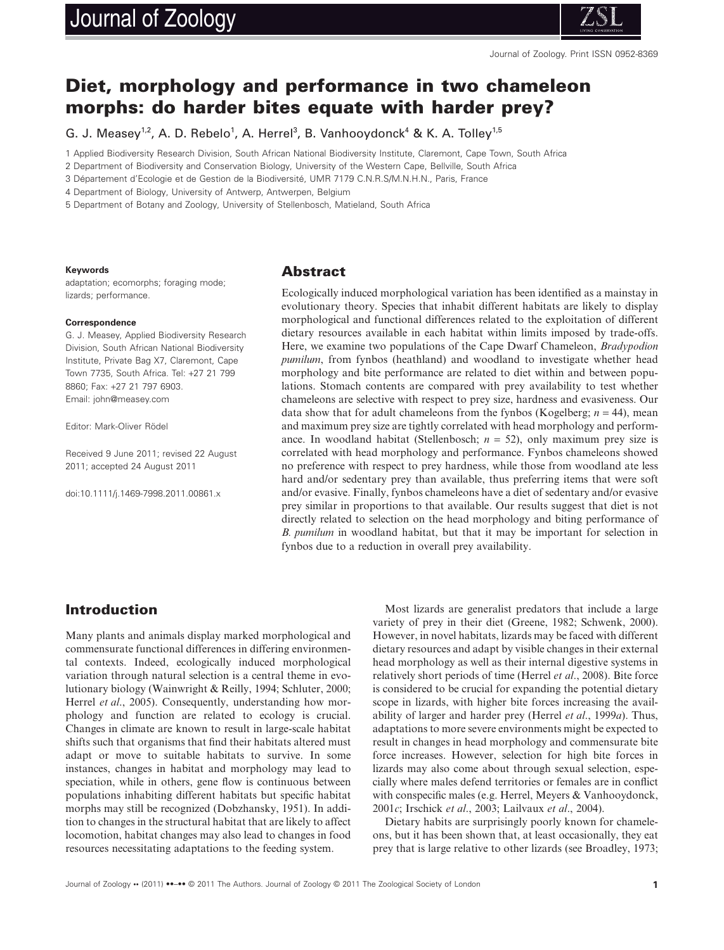# Journal of Zoology



# **Diet, morphology and performance in two chameleon morphs: do harder bites equate with harder prey?**

G. J. Measey<sup>1,2</sup>, A. D. Rebelo<sup>1</sup>, A. Herrel<sup>3</sup>, B. Vanhooydonck<sup>4</sup> & K. A. Tolley<sup>1,5</sup>

1 Applied Biodiversity Research Division, South African National Biodiversity Institute, Claremont, Cape Town, South Africa

2 Department of Biodiversity and Conservation Biology, University of the Western Cape, Bellville, South Africa

3 Département d'Ecologie et de Gestion de la Biodiversité, UMR 7179 C.N.R.S/M.N.H.N., Paris, France

4 Department of Biology, University of Antwerp, Antwerpen, Belgium

5 Department of Botany and Zoology, University of Stellenbosch, Matieland, South Africa

#### **Keywords**

adaptation; ecomorphs; foraging mode; lizards; performance.

#### **Correspondence**

G. J. Measey, Applied Biodiversity Research Division, South African National Biodiversity Institute, Private Bag X7, Claremont, Cape Town 7735, South Africa. Tel: +27 21 799 8860; Fax: +27 21 797 6903. Email: john@measey.com

Editor: Mark-Oliver Rödel

Received 9 June 2011; revised 22 August 2011; accepted 24 August 2011

doi:10.1111/j.1469-7998.2011.00861.x

#### **Abstract**

Ecologically induced morphological variation has been identified as a mainstay in evolutionary theory. Species that inhabit different habitats are likely to display morphological and functional differences related to the exploitation of different dietary resources available in each habitat within limits imposed by trade-offs. Here, we examine two populations of the Cape Dwarf Chameleon, *Bradypodion pumilum*, from fynbos (heathland) and woodland to investigate whether head morphology and bite performance are related to diet within and between populations. Stomach contents are compared with prey availability to test whether chameleons are selective with respect to prey size, hardness and evasiveness. Our data show that for adult chameleons from the fynbos (Kogelberg;  $n = 44$ ), mean and maximum prey size are tightly correlated with head morphology and performance. In woodland habitat (Stellenbosch;  $n = 52$ ), only maximum prey size is correlated with head morphology and performance. Fynbos chameleons showed no preference with respect to prey hardness, while those from woodland ate less hard and/or sedentary prey than available, thus preferring items that were soft and/or evasive. Finally, fynbos chameleons have a diet of sedentary and/or evasive prey similar in proportions to that available. Our results suggest that diet is not directly related to selection on the head morphology and biting performance of *B. pumilum* in woodland habitat, but that it may be important for selection in fynbos due to a reduction in overall prey availability.

# **Introduction**

Many plants and animals display marked morphological and commensurate functional differences in differing environmental contexts. Indeed, ecologically induced morphological variation through natural selection is a central theme in evolutionary biology (Wainwright & Reilly, 1994; Schluter, 2000; Herrel *et al.*, 2005). Consequently, understanding how morphology and function are related to ecology is crucial. Changes in climate are known to result in large-scale habitat shifts such that organisms that find their habitats altered must adapt or move to suitable habitats to survive. In some instances, changes in habitat and morphology may lead to speciation, while in others, gene flow is continuous between populations inhabiting different habitats but specific habitat morphs may still be recognized (Dobzhansky, 1951). In addition to changes in the structural habitat that are likely to affect locomotion, habitat changes may also lead to changes in food resources necessitating adaptations to the feeding system.

Most lizards are generalist predators that include a large variety of prey in their diet (Greene, 1982; Schwenk, 2000). However, in novel habitats, lizards may be faced with different dietary resources and adapt by visible changes in their external head morphology as well as their internal digestive systems in relatively short periods of time (Herrel *et al*., 2008). Bite force is considered to be crucial for expanding the potential dietary scope in lizards, with higher bite forces increasing the availability of larger and harder prey (Herrel *et al*., 1999*a*). Thus, adaptations to more severe environments might be expected to result in changes in head morphology and commensurate bite force increases. However, selection for high bite forces in lizards may also come about through sexual selection, especially where males defend territories or females are in conflict with conspecific males (e.g. Herrel, Meyers & Vanhooydonck, 2001*c*; Irschick *et al*., 2003; Lailvaux *et al*., 2004).

Dietary habits are surprisingly poorly known for chameleons, but it has been shown that, at least occasionally, they eat prey that is large relative to other lizards (see Broadley, 1973;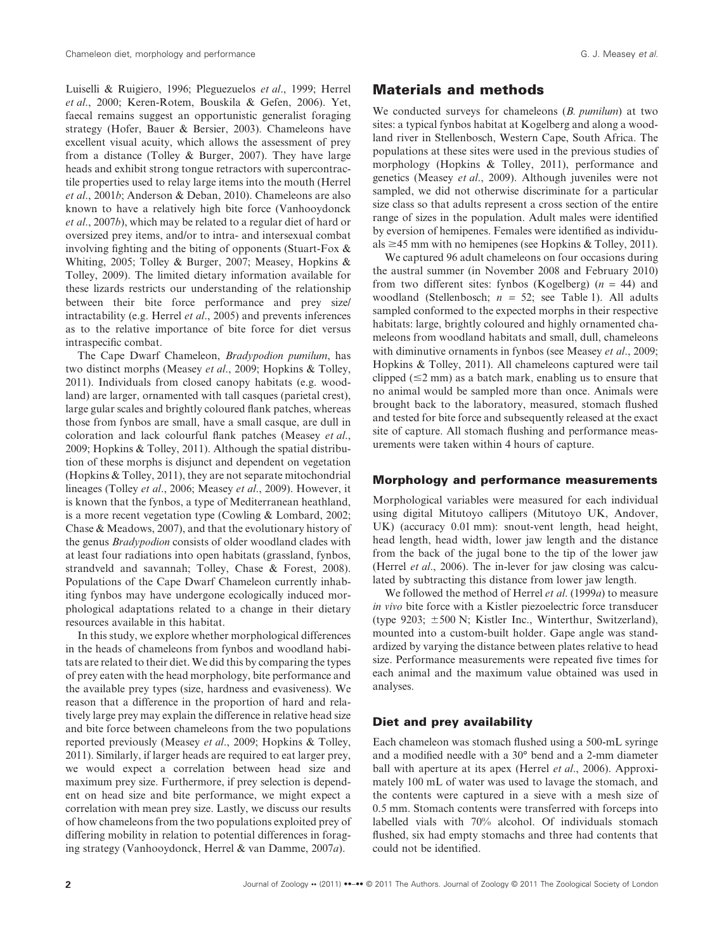Luiselli & Ruigiero, 1996; Pleguezuelos *et al*., 1999; Herrel *et al*., 2000; Keren-Rotem, Bouskila & Gefen, 2006). Yet, faecal remains suggest an opportunistic generalist foraging strategy (Hofer, Bauer & Bersier, 2003). Chameleons have excellent visual acuity, which allows the assessment of prey from a distance (Tolley & Burger, 2007). They have large heads and exhibit strong tongue retractors with supercontractile properties used to relay large items into the mouth (Herrel *et al*., 2001*b*; Anderson & Deban, 2010). Chameleons are also known to have a relatively high bite force (Vanhooydonck *et al*., 2007*b*), which may be related to a regular diet of hard or oversized prey items, and/or to intra- and intersexual combat involving fighting and the biting of opponents (Stuart-Fox & Whiting, 2005; Tolley & Burger, 2007; Measey, Hopkins & Tolley, 2009). The limited dietary information available for these lizards restricts our understanding of the relationship between their bite force performance and prey size/ intractability (e.g. Herrel *et al*., 2005) and prevents inferences as to the relative importance of bite force for diet versus intraspecific combat.

The Cape Dwarf Chameleon, *Bradypodion pumilum*, has two distinct morphs (Measey *et al*., 2009; Hopkins & Tolley, 2011). Individuals from closed canopy habitats (e.g. woodland) are larger, ornamented with tall casques (parietal crest), large gular scales and brightly coloured flank patches, whereas those from fynbos are small, have a small casque, are dull in coloration and lack colourful flank patches (Measey *et al*., 2009; Hopkins & Tolley, 2011). Although the spatial distribution of these morphs is disjunct and dependent on vegetation (Hopkins & Tolley, 2011), they are not separate mitochondrial lineages (Tolley *et al*., 2006; Measey *et al*., 2009). However, it is known that the fynbos, a type of Mediterranean heathland, is a more recent vegetation type (Cowling & Lombard, 2002; Chase & Meadows, 2007), and that the evolutionary history of the genus *Bradypodion* consists of older woodland clades with at least four radiations into open habitats (grassland, fynbos, strandveld and savannah; Tolley, Chase & Forest, 2008). Populations of the Cape Dwarf Chameleon currently inhabiting fynbos may have undergone ecologically induced morphological adaptations related to a change in their dietary resources available in this habitat.

In this study, we explore whether morphological differences in the heads of chameleons from fynbos and woodland habitats are related to their diet. We did this by comparing the types of prey eaten with the head morphology, bite performance and the available prey types (size, hardness and evasiveness). We reason that a difference in the proportion of hard and relatively large prey may explain the difference in relative head size and bite force between chameleons from the two populations reported previously (Measey *et al*., 2009; Hopkins & Tolley, 2011). Similarly, if larger heads are required to eat larger prey, we would expect a correlation between head size and maximum prey size. Furthermore, if prey selection is dependent on head size and bite performance, we might expect a correlation with mean prey size. Lastly, we discuss our results of how chameleons from the two populations exploited prey of differing mobility in relation to potential differences in foraging strategy (Vanhooydonck, Herrel & van Damme, 2007*a*).

# **Materials and methods**

We conducted surveys for chameleons (*B. pumilum*) at two sites: a typical fynbos habitat at Kogelberg and along a woodland river in Stellenbosch, Western Cape, South Africa. The populations at these sites were used in the previous studies of morphology (Hopkins & Tolley, 2011), performance and genetics (Measey *et al*., 2009). Although juveniles were not sampled, we did not otherwise discriminate for a particular size class so that adults represent a cross section of the entire range of sizes in the population. Adult males were identified by eversion of hemipenes. Females were identified as individuals  $\geq$ 45 mm with no hemipenes (see Hopkins & Tolley, 2011).

We captured 96 adult chameleons on four occasions during the austral summer (in November 2008 and February 2010) from two different sites: fynbos (Kogelberg) (*n* = 44) and woodland (Stellenbosch; *n* = 52; see Table 1). All adults sampled conformed to the expected morphs in their respective habitats: large, brightly coloured and highly ornamented chameleons from woodland habitats and small, dull, chameleons with diminutive ornaments in fynbos (see Measey *et al*., 2009; Hopkins & Tolley, 2011). All chameleons captured were tail clipped  $(\leq 2$  mm) as a batch mark, enabling us to ensure that no animal would be sampled more than once. Animals were brought back to the laboratory, measured, stomach flushed and tested for bite force and subsequently released at the exact site of capture. All stomach flushing and performance measurements were taken within 4 hours of capture.

#### **Morphology and performance measurements**

Morphological variables were measured for each individual using digital Mitutoyo callipers (Mitutoyo UK, Andover, UK) (accuracy 0.01 mm): snout-vent length, head height, head length, head width, lower jaw length and the distance from the back of the jugal bone to the tip of the lower jaw (Herrel *et al*., 2006). The in-lever for jaw closing was calculated by subtracting this distance from lower jaw length.

We followed the method of Herrel *et al*. (1999*a*) to measure *in vivo* bite force with a Kistler piezoelectric force transducer (type 9203;  $\pm 500$  N; Kistler Inc., Winterthur, Switzerland), mounted into a custom-built holder. Gape angle was standardized by varying the distance between plates relative to head size. Performance measurements were repeated five times for each animal and the maximum value obtained was used in analyses.

#### **Diet and prey availability**

Each chameleon was stomach flushed using a 500-mL syringe and a modified needle with a 30° bend and a 2-mm diameter ball with aperture at its apex (Herrel *et al*., 2006). Approximately 100 mL of water was used to lavage the stomach, and the contents were captured in a sieve with a mesh size of 0.5 mm. Stomach contents were transferred with forceps into labelled vials with 70% alcohol. Of individuals stomach flushed, six had empty stomachs and three had contents that could not be identified.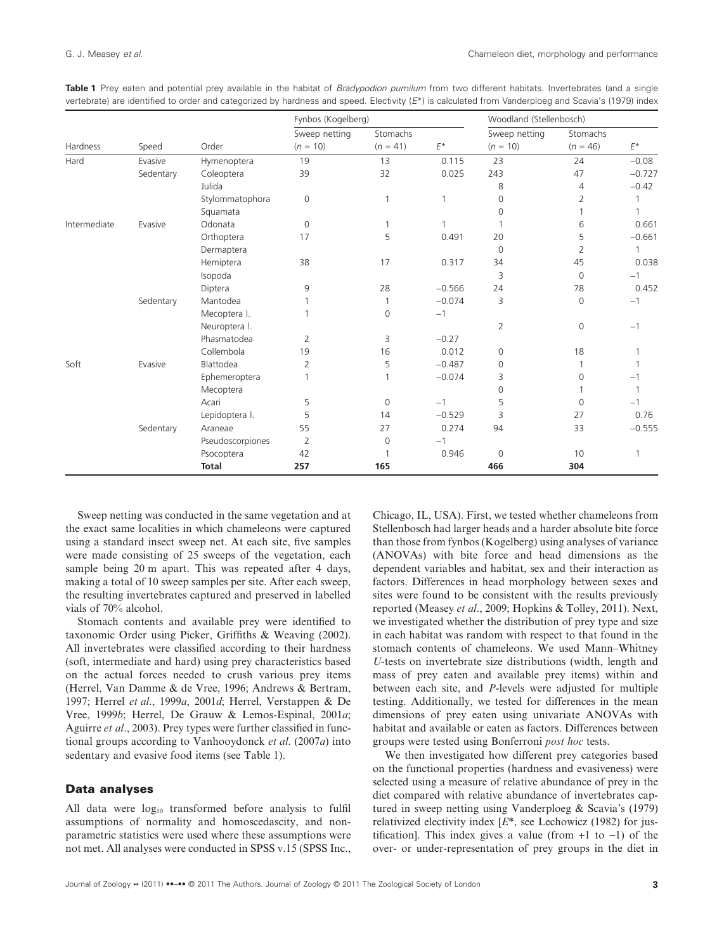|              |           |                  | Fynbos (Kogelberg) |              |              | Woodland (Stellenbosch) |                |          |  |
|--------------|-----------|------------------|--------------------|--------------|--------------|-------------------------|----------------|----------|--|
|              |           |                  | Sweep netting      | Stomachs     |              | Sweep netting           | Stomachs       |          |  |
| Hardness     | Speed     | Order            | $(n = 10)$         | $(n = 41)$   | $F^*$        | $(n = 10)$              | $(n = 46)$     | $F^*$    |  |
| Hard         | Evasive   | Hymenoptera      | 19                 | 13           | 0.115        | 23                      | 24             | $-0.08$  |  |
|              | Sedentary | Coleoptera       | 39                 | 32           | 0.025        | 243                     | 47             | $-0.727$ |  |
|              |           | Julida           |                    |              |              | 8                       | 4              | $-0.42$  |  |
|              |           | Stylommatophora  | $\mathbf 0$        | $\mathbf{1}$ | $\mathbf{1}$ | 0                       | 2              |          |  |
|              |           | Squamata         |                    |              |              | $\Omega$                |                |          |  |
| Intermediate | Evasive   | Odonata          | $\mathbf 0$        | 1            |              |                         | 6              | 0.661    |  |
|              |           | Orthoptera       | 17                 | 5            | 0.491        | 20                      | 5              | $-0.661$ |  |
|              |           | Dermaptera       |                    |              |              | $\Omega$                | $\overline{2}$ | 1        |  |
|              |           | Hemiptera        | 38                 | 17           | 0.317        | 34                      | 45             | 0.038    |  |
|              |           | Isopoda          |                    |              |              | 3                       | $\Omega$       | $-1$     |  |
|              |           | Diptera          | 9                  | 28           | $-0.566$     | 24                      | 78             | 0.452    |  |
|              | Sedentary | Mantodea         | 1                  | 1            | $-0.074$     | 3                       | $\Omega$       | $-1$     |  |
|              |           | Mecoptera I.     | 1                  | 0            | $-1$         |                         |                |          |  |
|              |           | Neuroptera I.    |                    |              |              | 2                       | $\circ$        | $-1$     |  |
|              |           | Phasmatodea      | $\overline{2}$     | 3            | $-0.27$      |                         |                |          |  |
|              |           | Collembola       | 19                 | 16           | 0.012        | 0                       | 18             |          |  |
| Soft         | Evasive   | Blattodea        | $\overline{2}$     | 5            | $-0.487$     | $\Omega$                |                |          |  |
|              |           | Ephemeroptera    | 1                  | $\mathbf{1}$ | $-0.074$     | 3                       | $\Omega$       | $-1$     |  |
|              |           | Mecoptera        |                    |              |              | $\Omega$                |                |          |  |
|              |           | Acari            | 5                  | $\mathbf 0$  | $-1$         | 5                       | $\mathbf 0$    | $-1$     |  |
|              |           | Lepidoptera I.   | 5                  | 14           | $-0.529$     | 3                       | 27             | 0.76     |  |
|              | Sedentary | Araneae          | 55                 | 27           | 0.274        | 94                      | 33             | $-0.555$ |  |
|              |           | Pseudoscorpiones | $\overline{2}$     | 0            | $-1$         |                         |                |          |  |
|              |           | Psocoptera       | 42                 | $\mathbf{1}$ | 0.946        | $\mathbf 0$             | 10             |          |  |
|              |           | <b>Total</b>     | 257                | 165          |              | 466                     | 304            |          |  |

**Table 1** Prey eaten and potential prey available in the habitat of *Bradypodion pumilum* from two different habitats. Invertebrates (and a single vertebrate) are identified to order and categorized by hardness and speed. Electivity (*E*\*) is calculated from Vanderploeg and Scavia's (1979) index

Sweep netting was conducted in the same vegetation and at the exact same localities in which chameleons were captured using a standard insect sweep net. At each site, five samples were made consisting of 25 sweeps of the vegetation, each sample being 20 m apart. This was repeated after 4 days, making a total of 10 sweep samples per site. After each sweep, the resulting invertebrates captured and preserved in labelled vials of 70% alcohol.

Stomach contents and available prey were identified to taxonomic Order using Picker, Griffiths & Weaving (2002). All invertebrates were classified according to their hardness (soft, intermediate and hard) using prey characteristics based on the actual forces needed to crush various prey items (Herrel, Van Damme & de Vree, 1996; Andrews & Bertram, 1997; Herrel *et al*., 1999*a*, 2001*d*; Herrel, Verstappen & De Vree, 1999*b*; Herrel, De Grauw & Lemos-Espinal, 2001*a*; Aguirre *et al*., 2003). Prey types were further classified in functional groups according to Vanhooydonck *et al*. (2007*a*) into sedentary and evasive food items (see Table 1).

#### **Data analyses**

All data were log<sub>10</sub> transformed before analysis to fulfil assumptions of normality and homoscedascity, and nonparametric statistics were used where these assumptions were not met. All analyses were conducted in SPSS v.15 (SPSS Inc.,

Chicago, IL, USA). First, we tested whether chameleons from Stellenbosch had larger heads and a harder absolute bite force than those from fynbos (Kogelberg) using analyses of variance (ANOVAs) with bite force and head dimensions as the dependent variables and habitat, sex and their interaction as factors. Differences in head morphology between sexes and sites were found to be consistent with the results previously reported (Measey *et al*., 2009; Hopkins & Tolley, 2011). Next, we investigated whether the distribution of prey type and size in each habitat was random with respect to that found in the stomach contents of chameleons. We used Mann–Whitney *U*-tests on invertebrate size distributions (width, length and mass of prey eaten and available prey items) within and between each site, and *P*-levels were adjusted for multiple testing. Additionally, we tested for differences in the mean dimensions of prey eaten using univariate ANOVAs with habitat and available or eaten as factors. Differences between groups were tested using Bonferroni *post hoc* tests.

We then investigated how different prey categories based on the functional properties (hardness and evasiveness) were selected using a measure of relative abundance of prey in the diet compared with relative abundance of invertebrates captured in sweep netting using Vanderploeg & Scavia's (1979) relativized electivity index [*E*\*, see Lechowicz (1982) for justification]. This index gives a value (from  $+1$  to  $-1$ ) of the over- or under-representation of prey groups in the diet in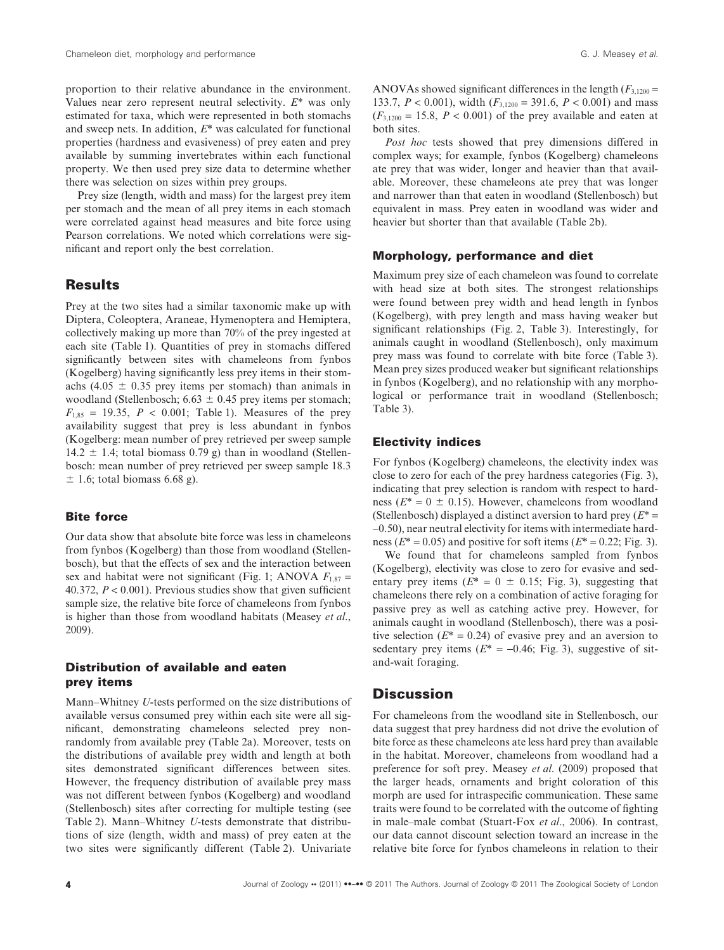proportion to their relative abundance in the environment. Values near zero represent neutral selectivity. *E*\* was only estimated for taxa, which were represented in both stomachs and sweep nets. In addition, *E*\* was calculated for functional properties (hardness and evasiveness) of prey eaten and prey available by summing invertebrates within each functional property. We then used prey size data to determine whether there was selection on sizes within prey groups.

Prey size (length, width and mass) for the largest prey item per stomach and the mean of all prey items in each stomach were correlated against head measures and bite force using Pearson correlations. We noted which correlations were significant and report only the best correlation.

# **Results**

Prey at the two sites had a similar taxonomic make up with Diptera, Coleoptera, Araneae, Hymenoptera and Hemiptera, collectively making up more than 70% of the prey ingested at each site (Table 1). Quantities of prey in stomachs differed significantly between sites with chameleons from fynbos (Kogelberg) having significantly less prey items in their stomachs (4.05  $\pm$  0.35 prey items per stomach) than animals in woodland (Stellenbosch;  $6.63 \pm 0.45$  prey items per stomach;  $F_{1,85} = 19.35, P < 0.001$ ; Table 1). Measures of the prey availability suggest that prey is less abundant in fynbos (Kogelberg: mean number of prey retrieved per sweep sample 14.2  $\pm$  1.4; total biomass 0.79 g) than in woodland (Stellenbosch: mean number of prey retrieved per sweep sample 18.3  $\pm$  1.6; total biomass 6.68 g).

#### **Bite force**

Our data show that absolute bite force was less in chameleons from fynbos (Kogelberg) than those from woodland (Stellenbosch), but that the effects of sex and the interaction between sex and habitat were not significant (Fig. 1; ANOVA  $F_{1,87}$  = 40.372,  $P < 0.001$ ). Previous studies show that given sufficient sample size, the relative bite force of chameleons from fynbos is higher than those from woodland habitats (Measey *et al*., 2009).

### **Distribution of available and eaten prey items**

Mann–Whitney *U*-tests performed on the size distributions of available versus consumed prey within each site were all significant, demonstrating chameleons selected prey nonrandomly from available prey (Table 2a). Moreover, tests on the distributions of available prey width and length at both sites demonstrated significant differences between sites. However, the frequency distribution of available prey mass was not different between fynbos (Kogelberg) and woodland (Stellenbosch) sites after correcting for multiple testing (see Table 2). Mann–Whitney *U*-tests demonstrate that distributions of size (length, width and mass) of prey eaten at the two sites were significantly different (Table 2). Univariate ANOVAs showed significant differences in the length  $(F_{3,1200} =$ 133.7, *P* < 0.001), width (*F*3,1200 = 391.6, *P* < 0.001) and mass  $(F_{3,1200} = 15.8, P < 0.001)$  of the prey available and eaten at both sites.

*Post hoc* tests showed that prey dimensions differed in complex ways; for example, fynbos (Kogelberg) chameleons ate prey that was wider, longer and heavier than that available. Moreover, these chameleons ate prey that was longer and narrower than that eaten in woodland (Stellenbosch) but equivalent in mass. Prey eaten in woodland was wider and heavier but shorter than that available (Table 2b).

#### **Morphology, performance and diet**

Maximum prey size of each chameleon was found to correlate with head size at both sites. The strongest relationships were found between prey width and head length in fynbos (Kogelberg), with prey length and mass having weaker but significant relationships (Fig. 2, Table 3). Interestingly, for animals caught in woodland (Stellenbosch), only maximum prey mass was found to correlate with bite force (Table 3). Mean prey sizes produced weaker but significant relationships in fynbos (Kogelberg), and no relationship with any morphological or performance trait in woodland (Stellenbosch; Table 3).

#### **Electivity indices**

For fynbos (Kogelberg) chameleons, the electivity index was close to zero for each of the prey hardness categories (Fig. 3), indicating that prey selection is random with respect to hardness ( $E^* = 0 \pm 0.15$ ). However, chameleons from woodland (Stellenbosch) displayed a distinct aversion to hard prey (*E*\* = -0.50), near neutral electivity for items with intermediate hardness ( $E^* = 0.05$ ) and positive for soft items ( $E^* = 0.22$ ; Fig. 3).

We found that for chameleons sampled from fynbos (Kogelberg), electivity was close to zero for evasive and sedentary prey items  $(E^* = 0 \pm 0.15;$  Fig. 3), suggesting that chameleons there rely on a combination of active foraging for passive prey as well as catching active prey. However, for animals caught in woodland (Stellenbosch), there was a positive selection  $(E^* = 0.24)$  of evasive prey and an aversion to sedentary prey items  $(E^* = -0.46; Fig. 3)$ , suggestive of sitand-wait foraging.

# **Discussion**

For chameleons from the woodland site in Stellenbosch, our data suggest that prey hardness did not drive the evolution of bite force as these chameleons ate less hard prey than available in the habitat. Moreover, chameleons from woodland had a preference for soft prey. Measey *et al*. (2009) proposed that the larger heads, ornaments and bright coloration of this morph are used for intraspecific communication. These same traits were found to be correlated with the outcome of fighting in male–male combat (Stuart-Fox *et al*., 2006). In contrast, our data cannot discount selection toward an increase in the relative bite force for fynbos chameleons in relation to their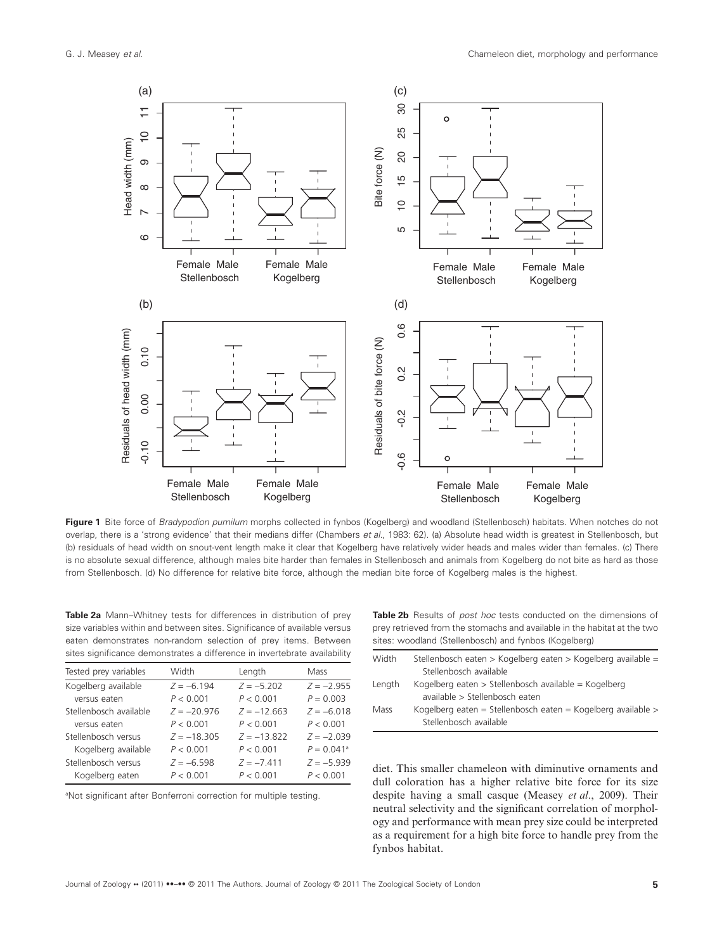

Figure 1 Bite force of *Bradypodion pumilum* morphs collected in fynbos (Kogelberg) and woodland (Stellenbosch) habitats. When notches do not overlap, there is a 'strong evidence' that their medians differ (Chambers *et al*., 1983: 62). (a) Absolute head width is greatest in Stellenbosch, but (b) residuals of head width on snout-vent length make it clear that Kogelberg have relatively wider heads and males wider than females. (c) There is no absolute sexual difference, although males bite harder than females in Stellenbosch and animals from Kogelberg do not bite as hard as those from Stellenbosch. (d) No difference for relative bite force, although the median bite force of Kogelberg males is the highest.

**Table 2a** Mann–Whitney tests for differences in distribution of prey size variables within and between sites. Significance of available versus eaten demonstrates non-random selection of prey items. Between sites significance demonstrates a difference in invertebrate availability

| Tested prey variables  | Width         | Length        | Mass                     |
|------------------------|---------------|---------------|--------------------------|
| Kogelberg available    | $Z = -6.194$  | $Z = -5.202$  | $Z = -2.955$             |
| versus eaten           | P < 0.001     | P < 0.001     | $P = 0.003$              |
| Stellenbosch available | $Z = -20.976$ | $Z = -12.663$ | $Z = -6.018$             |
| versus eaten           | P < 0.001     | P < 0.001     | P < 0.001                |
| Stellenbosch versus    | $Z = -18.305$ | $Z = -13.822$ | $Z = -2.039$             |
| Kogelberg available    | P < 0.001     | P < 0.001     | $P = 0.041$ <sup>a</sup> |
| Stellenbosch versus    | $Z = -6.598$  | $Z = -7.411$  | $Z = -5.939$             |
| Kogelberg eaten        | P < 0.001     | P < 0.001     | P < 0.001                |

<sup>a</sup>Not significant after Bonferroni correction for multiple testing.

**Table 2b** Results of *post hoc* tests conducted on the dimensions of prey retrieved from the stomachs and available in the habitat at the two sites: woodland (Stellenbosch) and fynbos (Kogelberg)

| Width  | Stellenbosch eaten > Kogelberg eaten > Kogelberg available = |
|--------|--------------------------------------------------------------|
|        | Stellenbosch available                                       |
| Length | Kogelberg eaten > Stellenbosch available = Kogelberg         |
|        | available > Stellenbosch eaten                               |
| Mass   | Kogelberg eaten = Stellenbosch eaten = Kogelberg available > |
|        | Stellenbosch available                                       |

diet. This smaller chameleon with diminutive ornaments and dull coloration has a higher relative bite force for its size despite having a small casque (Measey *et al*., 2009). Their neutral selectivity and the significant correlation of morphology and performance with mean prey size could be interpreted as a requirement for a high bite force to handle prey from the fynbos habitat.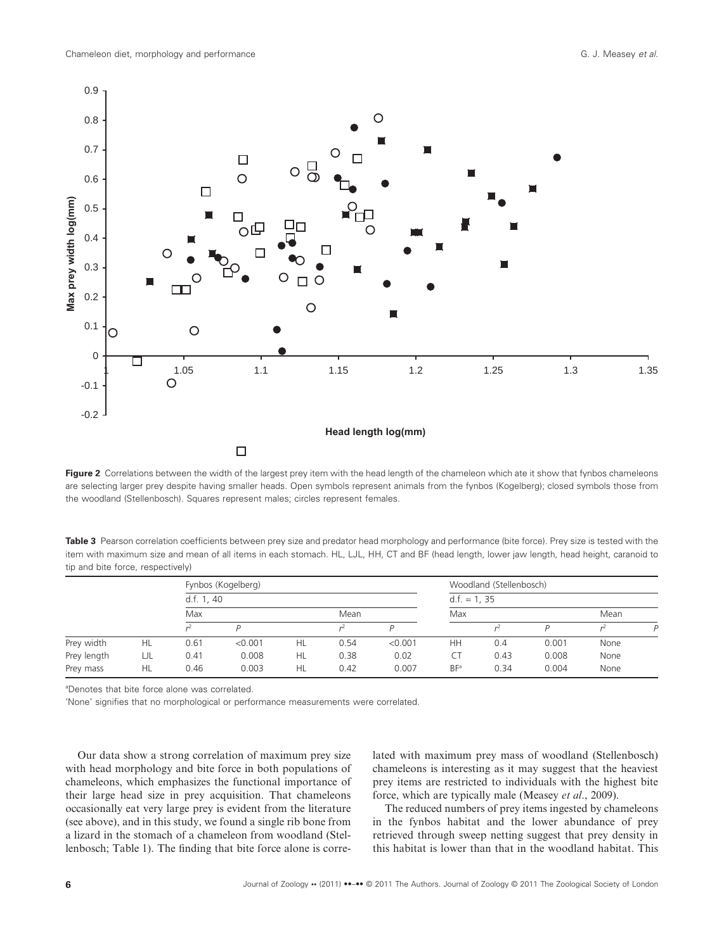

Figure 2 Correlations between the width of the largest prey item with the head length of the chameleon which ate it show that fynbos chameleons are selecting larger prey despite having smaller heads. Open symbols represent animals from the fynbos (Kogelberg); closed symbols those from the woodland (Stellenbosch). Squares represent males; circles represent females.

| Table 3 Pearson correlation coefficients between prey size and predator head morphology and performance (bite force). Prey size is tested with the |  |  |  |  |  |  |
|----------------------------------------------------------------------------------------------------------------------------------------------------|--|--|--|--|--|--|
| item with maximum size and mean of all items in each stomach. HL, LJL, HH, CT and BF (head length, lower jaw length, head height, caranoid to      |  |  |  |  |  |  |
| tip and bite force, respectively)                                                                                                                  |  |  |  |  |  |  |

|             |    |              | Fynbos (Kogelberg) |    |      |         |                 | Woodland (Stellenbosch) |       |      |      |  |  |
|-------------|----|--------------|--------------------|----|------|---------|-----------------|-------------------------|-------|------|------|--|--|
|             |    | d.f. $1, 40$ |                    |    |      |         |                 | d.f. $= 1, 35$          |       |      |      |  |  |
|             |    | Max          |                    |    | Mean |         |                 | Max                     |       |      | Mean |  |  |
|             |    |              |                    |    |      | D       |                 |                         |       |      |      |  |  |
| Prey width  | HL | 0.61         | < 0.001            | HL | 0.54 | < 0.001 | HН              | 0.4                     | 0.001 | None |      |  |  |
| Prey length | UL | 0.41         | 0.008              | HL | 0.38 | 0.02    | <b>CT</b>       | 0.43                    | 0.008 | None |      |  |  |
| Prey mass   | HL | 0.46         | 0.003              | HL | 0.42 | 0.007   | BF <sup>a</sup> | 0.34                    | 0.004 | None |      |  |  |

a Denotes that bite force alone was correlated.

'None' signifies that no morphological or performance measurements were correlated.

Our data show a strong correlation of maximum prey size with head morphology and bite force in both populations of chameleons, which emphasizes the functional importance of their large head size in prey acquisition. That chameleons occasionally eat very large prey is evident from the literature (see above), and in this study, we found a single rib bone from a lizard in the stomach of a chameleon from woodland (Stellenbosch; Table 1). The finding that bite force alone is correlated with maximum prey mass of woodland (Stellenbosch) chameleons is interesting as it may suggest that the heaviest prey items are restricted to individuals with the highest bite force, which are typically male (Measey *et al*., 2009).

The reduced numbers of prey items ingested by chameleons in the fynbos habitat and the lower abundance of prey retrieved through sweep netting suggest that prey density in this habitat is lower than that in the woodland habitat. This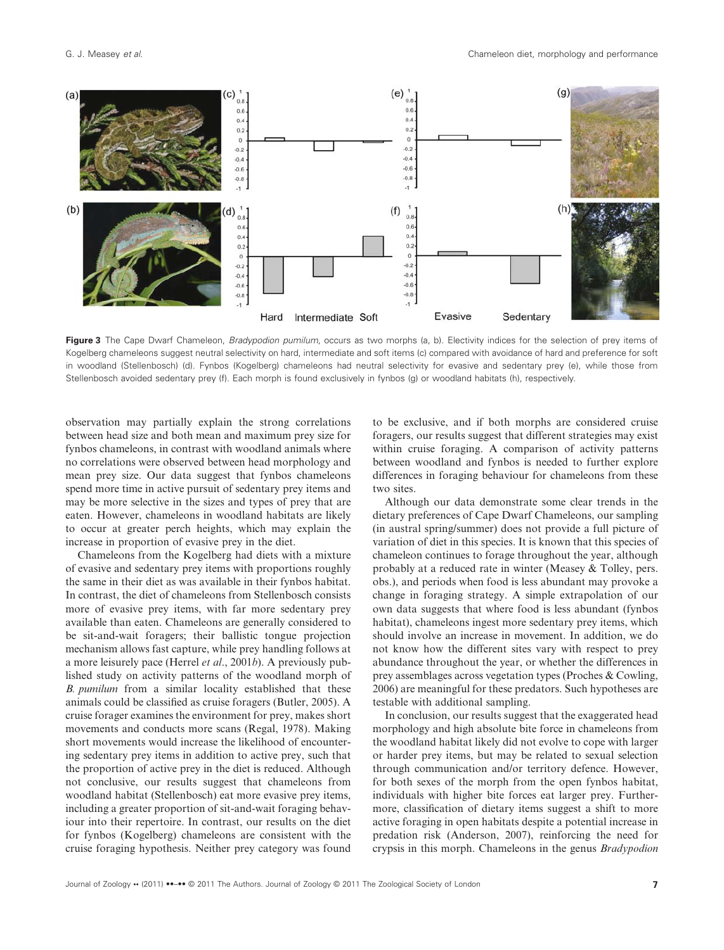

**Figure 3** The Cape Dwarf Chameleon, *Bradypodion pumilum*, occurs as two morphs (a, b). Electivity indices for the selection of prey items of Kogelberg chameleons suggest neutral selectivity on hard, intermediate and soft items (c) compared with avoidance of hard and preference for soft in woodland (Stellenbosch) (d). Fynbos (Kogelberg) chameleons had neutral selectivity for evasive and sedentary prey (e), while those from Stellenbosch avoided sedentary prey (f). Each morph is found exclusively in fynbos (g) or woodland habitats (h), respectively.

observation may partially explain the strong correlations between head size and both mean and maximum prey size for fynbos chameleons, in contrast with woodland animals where no correlations were observed between head morphology and mean prey size. Our data suggest that fynbos chameleons spend more time in active pursuit of sedentary prey items and may be more selective in the sizes and types of prey that are eaten. However, chameleons in woodland habitats are likely to occur at greater perch heights, which may explain the increase in proportion of evasive prey in the diet.

Chameleons from the Kogelberg had diets with a mixture of evasive and sedentary prey items with proportions roughly the same in their diet as was available in their fynbos habitat. In contrast, the diet of chameleons from Stellenbosch consists more of evasive prey items, with far more sedentary prey available than eaten. Chameleons are generally considered to be sit-and-wait foragers; their ballistic tongue projection mechanism allows fast capture, while prey handling follows at a more leisurely pace (Herrel *et al*., 2001*b*). A previously published study on activity patterns of the woodland morph of *B. pumilum* from a similar locality established that these animals could be classified as cruise foragers (Butler, 2005). A cruise forager examines the environment for prey, makes short movements and conducts more scans (Regal, 1978). Making short movements would increase the likelihood of encountering sedentary prey items in addition to active prey, such that the proportion of active prey in the diet is reduced. Although not conclusive, our results suggest that chameleons from woodland habitat (Stellenbosch) eat more evasive prey items, including a greater proportion of sit-and-wait foraging behaviour into their repertoire. In contrast, our results on the diet for fynbos (Kogelberg) chameleons are consistent with the cruise foraging hypothesis. Neither prey category was found

to be exclusive, and if both morphs are considered cruise foragers, our results suggest that different strategies may exist within cruise foraging. A comparison of activity patterns between woodland and fynbos is needed to further explore differences in foraging behaviour for chameleons from these two sites.

Although our data demonstrate some clear trends in the dietary preferences of Cape Dwarf Chameleons, our sampling (in austral spring/summer) does not provide a full picture of variation of diet in this species. It is known that this species of chameleon continues to forage throughout the year, although probably at a reduced rate in winter (Measey & Tolley, pers. obs.), and periods when food is less abundant may provoke a change in foraging strategy. A simple extrapolation of our own data suggests that where food is less abundant (fynbos habitat), chameleons ingest more sedentary prey items, which should involve an increase in movement. In addition, we do not know how the different sites vary with respect to prey abundance throughout the year, or whether the differences in prey assemblages across vegetation types (Proches & Cowling, 2006) are meaningful for these predators. Such hypotheses are testable with additional sampling.

In conclusion, our results suggest that the exaggerated head morphology and high absolute bite force in chameleons from the woodland habitat likely did not evolve to cope with larger or harder prey items, but may be related to sexual selection through communication and/or territory defence. However, for both sexes of the morph from the open fynbos habitat, individuals with higher bite forces eat larger prey. Furthermore, classification of dietary items suggest a shift to more active foraging in open habitats despite a potential increase in predation risk (Anderson, 2007), reinforcing the need for crypsis in this morph. Chameleons in the genus *Bradypodion*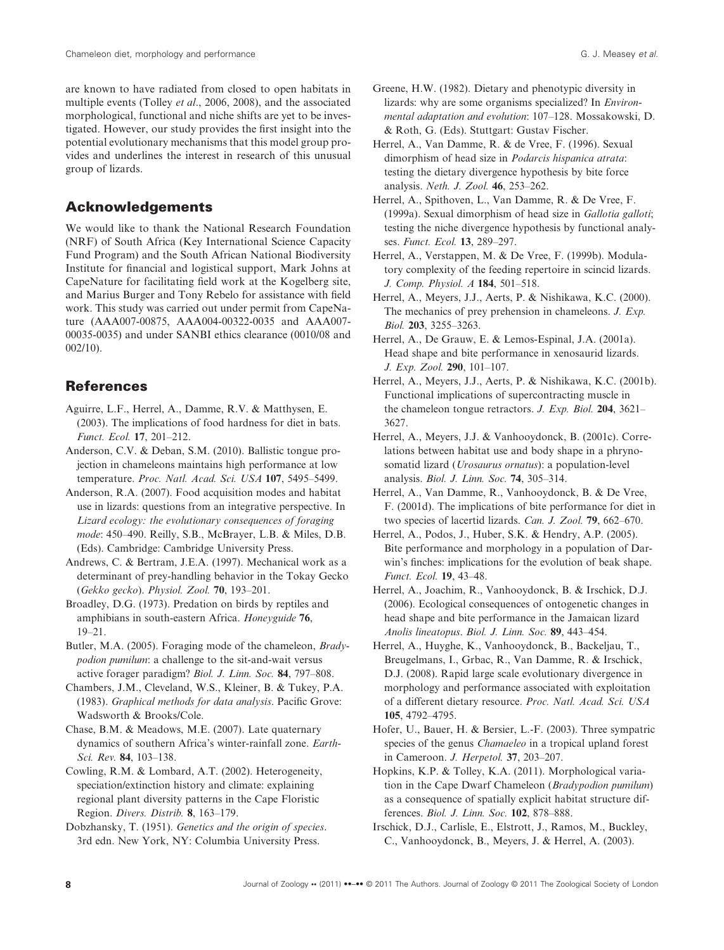are known to have radiated from closed to open habitats in multiple events (Tolley *et al*., 2006, 2008), and the associated morphological, functional and niche shifts are yet to be investigated. However, our study provides the first insight into the potential evolutionary mechanisms that this model group provides and underlines the interest in research of this unusual group of lizards.

# **Acknowledgements**

We would like to thank the National Research Foundation (NRF) of South Africa (Key International Science Capacity Fund Program) and the South African National Biodiversity Institute for financial and logistical support, Mark Johns at CapeNature for facilitating field work at the Kogelberg site, and Marius Burger and Tony Rebelo for assistance with field work. This study was carried out under permit from CapeNature (AAA007-00875, AAA004-00322-0035 and AAA007- 00035-0035) and under SANBI ethics clearance (0010/08 and 002/10).

# **References**

- Aguirre, L.F., Herrel, A., Damme, R.V. & Matthysen, E. (2003). The implications of food hardness for diet in bats. *Funct. Ecol.* **17**, 201–212.
- Anderson, C.V. & Deban, S.M. (2010). Ballistic tongue projection in chameleons maintains high performance at low temperature. *Proc. Natl. Acad. Sci. USA* **107**, 5495–5499.
- Anderson, R.A. (2007). Food acquisition modes and habitat use in lizards: questions from an integrative perspective. In *Lizard ecology: the evolutionary consequences of foraging mode*: 450–490. Reilly, S.B., McBrayer, L.B. & Miles, D.B. (Eds). Cambridge: Cambridge University Press.
- Andrews, C. & Bertram, J.E.A. (1997). Mechanical work as a determinant of prey-handling behavior in the Tokay Gecko (*Gekko gecko*). *Physiol. Zool.* **70**, 193–201.
- Broadley, D.G. (1973). Predation on birds by reptiles and amphibians in south-eastern Africa. *Honeyguide* **76**, 19–21.
- Butler, M.A. (2005). Foraging mode of the chameleon, *Bradypodion pumilum*: a challenge to the sit-and-wait versus active forager paradigm? *Biol. J. Linn. Soc.* **84**, 797–808.
- Chambers, J.M., Cleveland, W.S., Kleiner, B. & Tukey, P.A. (1983). *Graphical methods for data analysis*. Pacific Grove: Wadsworth & Brooks/Cole.
- Chase, B.M. & Meadows, M.E. (2007). Late quaternary dynamics of southern Africa's winter-rainfall zone. *Earth-Sci. Rev.* **84**, 103–138.
- Cowling, R.M. & Lombard, A.T. (2002). Heterogeneity, speciation/extinction history and climate: explaining regional plant diversity patterns in the Cape Floristic Region. *Divers. Distrib.* **8**, 163–179.
- Dobzhansky, T. (1951). *Genetics and the origin of species*. 3rd edn. New York, NY: Columbia University Press.
- Greene, H.W. (1982). Dietary and phenotypic diversity in lizards: why are some organisms specialized? In *Environmental adaptation and evolution*: 107–128. Mossakowski, D. & Roth, G. (Eds). Stuttgart: Gustav Fischer.
- Herrel, A., Van Damme, R. & de Vree, F. (1996). Sexual dimorphism of head size in *Podarcis hispanica atrata*: testing the dietary divergence hypothesis by bite force analysis. *Neth. J. Zool.* **46**, 253–262.
- Herrel, A., Spithoven, L., Van Damme, R. & De Vree, F. (1999a). Sexual dimorphism of head size in *Gallotia galloti*; testing the niche divergence hypothesis by functional analyses. *Funct. Ecol.* **13**, 289–297.
- Herrel, A., Verstappen, M. & De Vree, F. (1999b). Modulatory complexity of the feeding repertoire in scincid lizards. *J. Comp. Physiol. A* **184**, 501–518.
- Herrel, A., Meyers, J.J., Aerts, P. & Nishikawa, K.C. (2000). The mechanics of prey prehension in chameleons. *J. Exp. Biol.* **203**, 3255–3263.
- Herrel, A., De Grauw, E. & Lemos-Espinal, J.A. (2001a). Head shape and bite performance in xenosaurid lizards. *J. Exp. Zool.* **290**, 101–107.
- Herrel, A., Meyers, J.J., Aerts, P. & Nishikawa, K.C. (2001b). Functional implications of supercontracting muscle in the chameleon tongue retractors. *J. Exp. Biol.* **204**, 3621– 3627.
- Herrel, A., Meyers, J.J. & Vanhooydonck, B. (2001c). Correlations between habitat use and body shape in a phrynosomatid lizard (*Urosaurus ornatus*): a population-level analysis. *Biol. J. Linn. Soc.* **74**, 305–314.
- Herrel, A., Van Damme, R., Vanhooydonck, B. & De Vree, F. (2001d). The implications of bite performance for diet in two species of lacertid lizards. *Can. J. Zool.* **79**, 662–670.
- Herrel, A., Podos, J., Huber, S.K. & Hendry, A.P. (2005). Bite performance and morphology in a population of Darwin's finches: implications for the evolution of beak shape. *Funct. Ecol.* **19**, 43–48.
- Herrel, A., Joachim, R., Vanhooydonck, B. & Irschick, D.J. (2006). Ecological consequences of ontogenetic changes in head shape and bite performance in the Jamaican lizard *Anolis lineatopus*. *Biol. J. Linn. Soc.* **89**, 443–454.
- Herrel, A., Huyghe, K., Vanhooydonck, B., Backeljau, T., Breugelmans, I., Grbac, R., Van Damme, R. & Irschick, D.J. (2008). Rapid large scale evolutionary divergence in morphology and performance associated with exploitation of a different dietary resource. *Proc. Natl. Acad. Sci. USA* **105**, 4792–4795.
- Hofer, U., Bauer, H. & Bersier, L.-F. (2003). Three sympatric species of the genus *Chamaeleo* in a tropical upland forest in Cameroon. *J. Herpetol.* **37**, 203–207.
- Hopkins, K.P. & Tolley, K.A. (2011). Morphological variation in the Cape Dwarf Chameleon (*Bradypodion pumilum*) as a consequence of spatially explicit habitat structure differences. *Biol. J. Linn. Soc.* **102**, 878–888.
- Irschick, D.J., Carlisle, E., Elstrott, J., Ramos, M., Buckley, C., Vanhooydonck, B., Meyers, J. & Herrel, A. (2003).